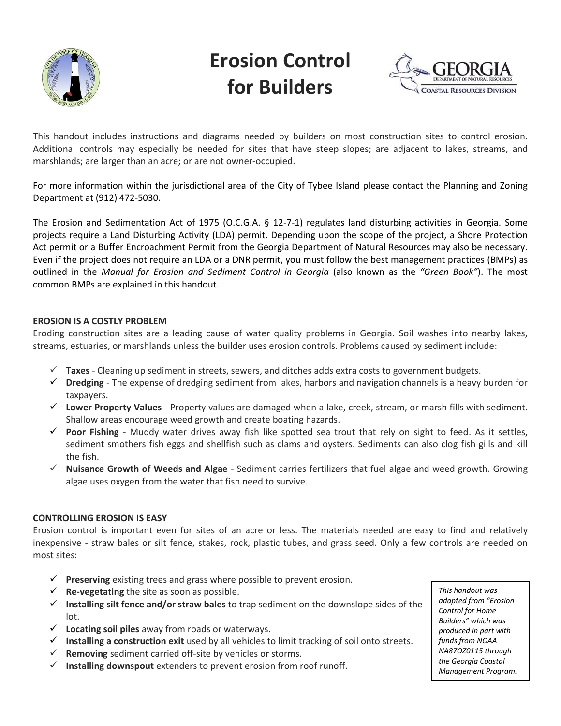

# **Erosion Control for Builders**



This handout includes instructions and diagrams needed by builders on most construction sites to control erosion. Additional controls may especially be needed for sites that have steep slopes; are adjacent to lakes, streams, and marshlands; are larger than an acre; or are not owner-occupied.

For more information within the jurisdictional area of the City of Tybee Island please contact the Planning and Zoning Department at (912) 472-5030.

The Erosion and Sedimentation Act of 1975 (O.C.G.A. § 12-7-1) regulates land disturbing activities in Georgia. Some projects require a Land Disturbing Activity (LDA) permit. Depending upon the scope of the project, a Shore Protection Act permit or a Buffer Encroachment Permit from the Georgia Department of Natural Resources may also be necessary. Even if the project does not require an LDA or a DNR permit, you must follow the best management practices (BMPs) as outlined in the *Manual for Erosion and Sediment Control in Georgia* (also known as the *"Green Book"*). The most common BMPs are explained in this handout.

# **EROSION IS A COSTLY PROBLEM**

Eroding construction sites are a leading cause of water quality problems in Georgia. Soil washes into nearby lakes, streams, estuaries, or marshlands unless the builder uses erosion controls. Problems caused by sediment include:

- **Taxes** Cleaning up sediment in streets, sewers, and ditches adds extra costs to government budgets.
- **Dredging** The expense of dredging sediment from lakes, harbors and navigation channels is a heavy burden for taxpayers.
- **Lower Property Values** Property values are damaged when a lake, creek, stream, or marsh fills with sediment. Shallow areas encourage weed growth and create boating hazards.
- **Poor Fishing** Muddy water drives away fish like spotted sea trout that rely on sight to feed. As it settles, sediment smothers fish eggs and shellfish such as clams and oysters. Sediments can also clog fish gills and kill the fish.
- **Nuisance Growth of Weeds and Algae** Sediment carries fertilizers that fuel algae and weed growth. Growing algae uses oxygen from the water that fish need to survive.

## **CONTROLLING EROSION IS EASY**

Erosion control is important even for sites of an acre or less. The materials needed are easy to find and relatively inexpensive - straw bales or silt fence, stakes, rock, plastic tubes, and grass seed. Only a few controls are needed on most sites:

- **Preserving** existing trees and grass where possible to prevent erosion.
- $\checkmark$  **Re-vegetating** the site as soon as possible.
- **Installing silt fence and/or straw bales** to trap sediment on the downslope sides of the lot.
- **Locating soil piles** away from roads or waterways.
- **Installing a construction exit** used by all vehicles to limit tracking of soil onto streets.
- **Removing** sediment carried off-site by vehicles or storms.
- $\checkmark$  Installing downspout extenders to prevent erosion from roof runoff.

*This handout was adapted from "Erosion Control for Home Builders" which was produced in part with funds from NOAA NA87OZ0115 through the Georgia Coastal Management Program.*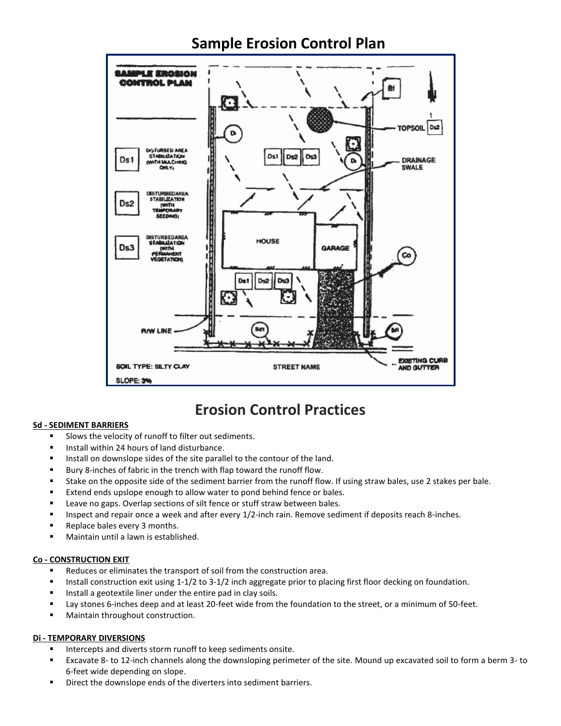# **Sample Erosion Control Plan**



# **Erosion Control Practices**

#### **Sd - SEDIMENT BARRIERS**

- Slows the velocity of runoff to filter out sediments.
- Install within 24 hours of land disturbance.
- **Install on downslope sides of the site parallel to the contour of the land.**
- Bury 8-inches of fabric in the trench with flap toward the runoff flow.
- Stake on the opposite side of the sediment barrier from the runoff flow. If using straw bales, use 2 stakes per bale.
- **Extend ends upslope enough to allow water to pond behind fence or bales.**
- Leave no gaps. Overlap sections of silt fence or stuff straw between bales.
- Inspect and repair once a week and after every 1/2-inch rain. Remove sediment if deposits reach 8-inches.
- Replace bales every 3 months.
- Maintain until a lawn is established.

## **Co - CONSTRUCTION EXIT**

- Reduces or eliminates the transport of soil from the construction area.
- Install construction exit using 1-1/2 to 3-1/2 inch aggregate prior to placing first floor decking on foundation.
- Install a geotextile liner under the entire pad in clay soils.
- Lay stones 6-inches deep and at least 20-feet wide from the foundation to the street, or a minimum of 50-feet.
- **Maintain throughout construction.**

## **Di - TEMPORARY DIVERSIONS**

- Intercepts and diverts storm runoff to keep sediments onsite.
- Excavate 8- to 12-inch channels along the downsloping perimeter of the site. Mound up excavated soil to form a berm 3- to 6-feet wide depending on slope.
- Direct the downslope ends of the diverters into sediment barriers.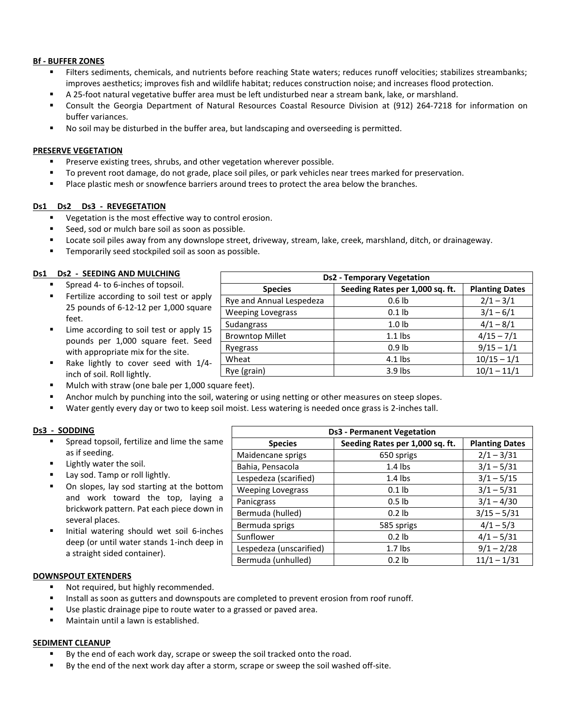#### **Bf - BUFFER ZONES**

- Filters sediments, chemicals, and nutrients before reaching State waters; reduces runoff velocities; stabilizes streambanks; improves aesthetics; improves fish and wildlife habitat; reduces construction noise; and increases flood protection.
- A 25-foot natural vegetative buffer area must be left undisturbed near a stream bank, lake, or marshland.
- Consult the Georgia Department of Natural Resources Coastal Resource Division at (912) 264-7218 for information on buffer variances.
- No soil may be disturbed in the buffer area, but landscaping and overseeding is permitted.

#### **PRESERVE VEGETATION**

- Preserve existing trees, shrubs, and other vegetation wherever possible.
- To prevent root damage, do not grade, place soil piles, or park vehicles near trees marked for preservation.
- Place plastic mesh or snowfence barriers around trees to protect the area below the branches.

#### **Ds1 Ds2 Ds3 - REVEGETATION**

- Vegetation is the most effective way to control erosion.
- Seed, sod or mulch bare soil as soon as possible.
- Locate soil piles away from any downslope street, driveway, stream, lake, creek, marshland, ditch, or drainageway.
- Temporarily seed stockpiled soil as soon as possible.

#### **Ds1 Ds2 - SEEDING AND MULCHING**

- Spread 4- to 6-inches of topsoil.
- Fertilize according to soil test or apply 25 pounds of 6-12-12 per 1,000 square feet.
- Lime according to soil test or apply 15 pounds per 1,000 square feet. Seed with appropriate mix for the site.
- Rake lightly to cover seed with 1/4 inch of soil. Roll lightly.
- Mulch with straw (one bale per 1,000 square feet).
- Anchor mulch by punching into the soil, watering or using netting or other measures on steep slopes.
- Water gently every day or two to keep soil moist. Less watering is needed once grass is 2-inches tall.

#### **Ds3 - SODDING**

- Spread topsoil, fertilize and lime the same as if seeding.
- Lightly water the soil.
- Lay sod. Tamp or roll lightly.
- On slopes, lay sod starting at the bottom and work toward the top, laying a brickwork pattern. Pat each piece down in several places.
- Initial watering should wet soil 6-inches deep (or until water stands 1-inch deep in a straight sided container).

| <b>Ds3 - Permanent Vegetation</b> |                                 |                       |
|-----------------------------------|---------------------------------|-----------------------|
| <b>Species</b>                    | Seeding Rates per 1,000 sq. ft. | <b>Planting Dates</b> |
| Maidencane sprigs                 | 650 sprigs                      | $2/1 - 3/31$          |
| Bahia, Pensacola                  | $1.4$ lbs                       | $3/1 - 5/31$          |
| Lespedeza (scarified)             | $1.4$ lbs                       | $3/1 - 5/15$          |
| <b>Weeping Lovegrass</b>          | $0.1$ lb                        | $3/1 - 5/31$          |
| Panicgrass                        | 0.5 <sub>1b</sub>               | $3/1 - 4/30$          |
| Bermuda (hulled)                  | $0.2$ lb                        | $3/15 - 5/31$         |
| Bermuda sprigs                    | 585 sprigs                      | $4/1 - 5/3$           |
| Sunflower                         | $0.2$ lb                        | $4/1 - 5/31$          |
| Lespedeza (unscarified)           | $1.7$ lbs                       | $9/1 - 2/28$          |
| Bermuda (unhulled)                | $0.2$ lb                        | $11/1 - 1/31$         |

#### **DOWNSPOUT EXTENDERS**

- Not required, but highly recommended.
- Install as soon as gutters and downspouts are completed to prevent erosion from roof runoff.
- Use plastic drainage pipe to route water to a grassed or paved area.
- Maintain until a lawn is established.

#### **SEDIMENT CLEANUP**

- By the end of each work day, scrape or sweep the soil tracked onto the road.
- By the end of the next work day after a storm, scrape or sweep the soil washed off-site.

| <b>Ds2 - Temporary Vegetation</b> |                                 |                       |  |
|-----------------------------------|---------------------------------|-----------------------|--|
| <b>Species</b>                    | Seeding Rates per 1,000 sq. ft. | <b>Planting Dates</b> |  |
| Rye and Annual Lespedeza          | 0.6 <sub>1b</sub>               | $2/1 - 3/1$           |  |
| <b>Weeping Lovegrass</b>          | $0.1$ lb                        | $3/1 - 6/1$           |  |
| Sudangrass                        | 1.0 <sub>1b</sub>               | $4/1 - 8/1$           |  |
| <b>Browntop Millet</b>            | $1.1$ lbs                       | $4/15 - 7/1$          |  |
| Ryegrass                          | 0.9 <sub>lb</sub>               | $9/15 - 1/1$          |  |
| Wheat                             | $4.1$ lbs                       | $10/15 - 1/1$         |  |
| Rye (grain)                       | $3.9$ lbs                       | $10/1 - 11/1$         |  |